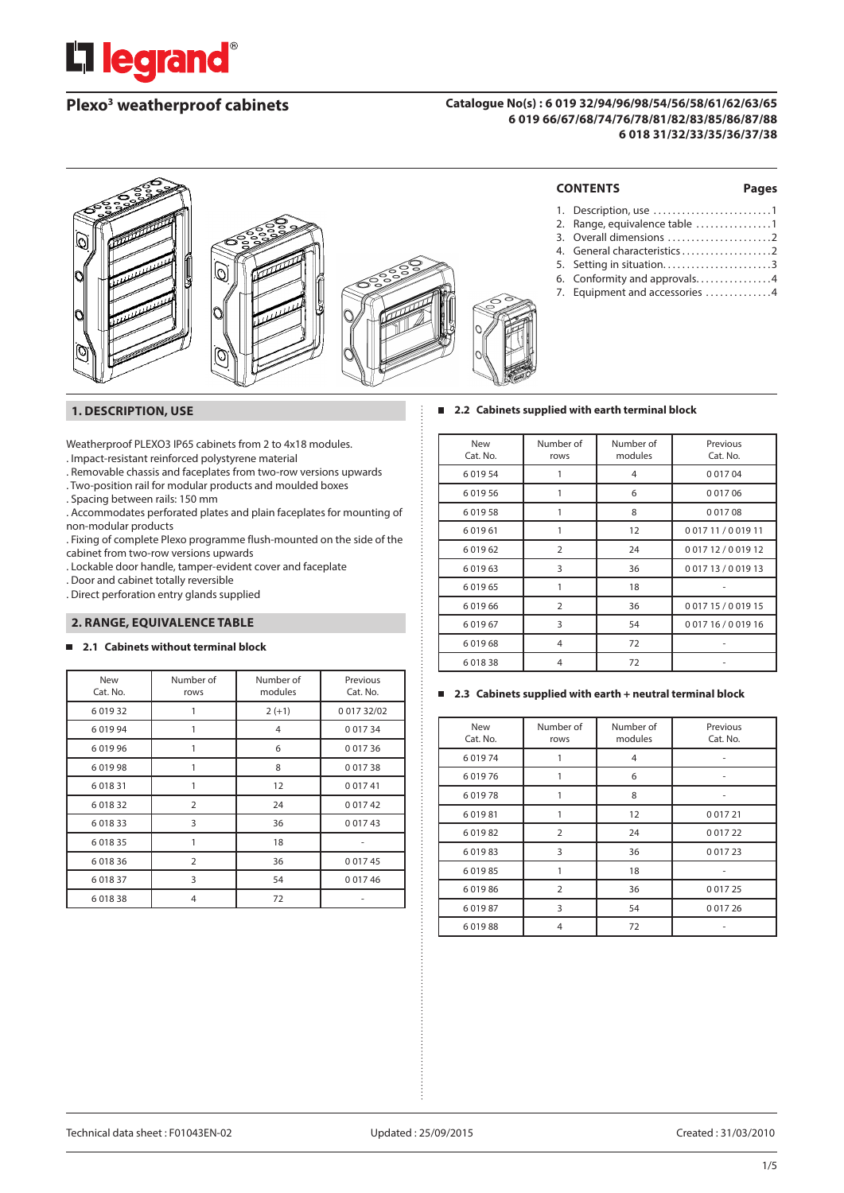

# **Plexo3 weatherproof cabinets**

#### **Catalogue No(s) : 6 019 32/94/96/98/54/56/58/61/62/63/65 6 019 66/67/68/74/76/78/81/82/83/85/86/87/88 6 018 31/32/33/35/36/37/38**



#### **1. DESCRIPTION, USE**

Weatherproof PLEXO3 IP65 cabinets from 2 to 4x18 modules.

- . Impact-resistant reinforced polystyrene material
- . Removable chassis and faceplates from two-row versions upwards
- . Two-position rail for modular products and moulded boxes
- . Spacing between rails: 150 mm
- . Accommodates perforated plates and plain faceplates for mounting of non-modular products
- . Fixing of complete Plexo programme flush-mounted on the side of the cabinet from two-row versions upwards
- . Lockable door handle, tamper-evident cover and faceplate
- . Door and cabinet totally reversible
- . Direct perforation entry glands supplied

#### **2. RANGE, EQUIVALENCE TABLE**

### **2.1 Cabinets without terminal block**

| <b>New</b><br>Cat. No. | Number of<br>rows | Number of<br>modules | Previous<br>Cat. No. |
|------------------------|-------------------|----------------------|----------------------|
| 6 0 1 9 3 2            |                   | $2 (+1)$             | 001732/02            |
| 601994                 |                   | $\overline{4}$       | 0 0 1 7 3 4          |
| 601996                 | 1                 | 6                    | 0 0 1 7 3 6          |
| 601998                 | 1                 | 8                    | 0 0 1 7 3 8          |
| 6 0 18 31              | 1                 | 12                   | 0 0 1 7 4 1          |
| 6 0 18 32              | $\overline{2}$    | 24                   | 0 0 1 7 4 2          |
| 601833                 | 3                 | 36                   | 0 0 1 7 4 3          |
| 6 0 18 35              | 1                 | 18                   |                      |
| 601836                 | $\overline{2}$    | 36                   | 0 0 1 7 4 5          |
| 6 0 18 37              | 3                 | 54                   | 0 0 1 7 4 6          |
| 601838                 | 4                 | 72                   |                      |

| <b>New</b><br>Cat. No. | Number of<br>rows | Number of<br>modules | Previous<br>Cat. No. |
|------------------------|-------------------|----------------------|----------------------|
| 601954                 |                   | 4                    | 0 0 1 7 0 4          |
| 601956                 |                   | 6                    | 0 0 1 7 0 6          |
| 601958                 |                   | 8                    | 0 0 1 7 0 8          |
| 601961                 |                   | 12                   | 001711/001911        |
| 601962                 | $\overline{2}$    | 24                   | 001712/001912        |
| 601963                 | 3                 | 36                   | 001713/001913        |
| 601965                 |                   | 18                   |                      |
| 601966                 | $\overline{2}$    | 36                   | 001715/001915        |
| 601967                 | 3                 | 54                   | 001716/001916        |
| 601968                 | 4                 | 72                   |                      |
| 601838                 | 4                 | 72                   |                      |

**2.2 Cabinets supplied with earth terminal block**

#### **2.3 Cabinets supplied with earth + neutral terminal block**

| <b>New</b><br>Cat. No. | Number of<br>rows | Number of<br>modules | Previous<br>Cat. No. |
|------------------------|-------------------|----------------------|----------------------|
| 601974                 |                   | 4                    |                      |
| 601976                 |                   | 6                    |                      |
| 601978                 |                   | 8                    |                      |
| 601981                 |                   | 12                   | 0 0 1 7 2 1          |
| 601982                 | $\overline{2}$    | 24                   | 0 0 1 7 2 2          |
| 601983                 | 3                 | 36                   | 0 0 1 7 2 3          |
| 601985                 |                   | 18                   |                      |
| 601986                 | $\overline{2}$    | 36                   | 0 0 1 7 2 5          |
| 601987                 | 3                 | 54                   | 0 0 1 7 2 6          |
| 601988                 | 4                 | 72                   |                      |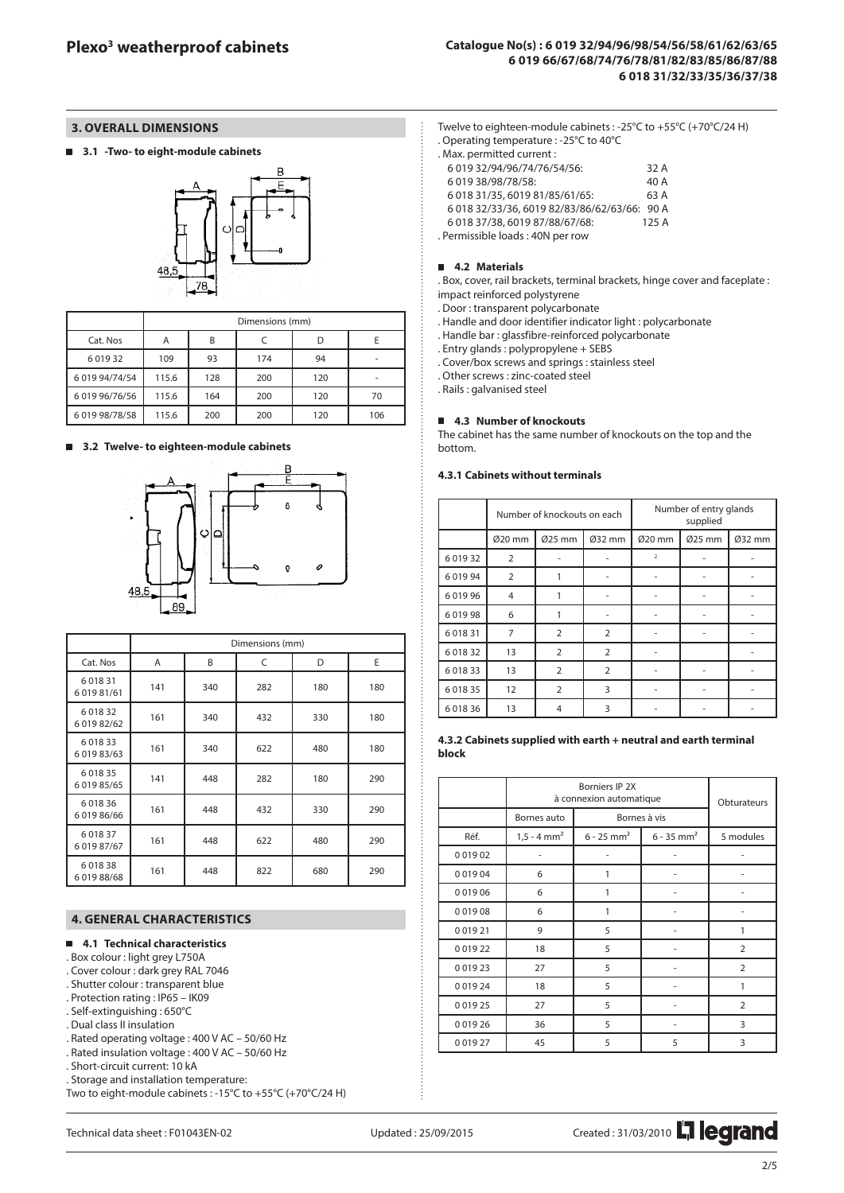### **3. OVERALL DIMENSIONS**

**3.1 -Two- to eight-module cabinets**



|                | Dimensions (mm) |     |     |     |                          |  |
|----------------|-----------------|-----|-----|-----|--------------------------|--|
| Cat. Nos       | A               | B   |     |     |                          |  |
| 6 0 1 9 3 2    | 109             | 93  | 174 | 94  | $\overline{\phantom{a}}$ |  |
| 6 019 94/74/54 | 115.6           | 128 | 200 | 120 |                          |  |
| 6 019 96/76/56 | 115.6           | 164 | 200 | 120 | 70                       |  |
| 6 019 98/78/58 | 115.6           | 200 | 200 | 120 | 106                      |  |

#### **3.2 Twelve- to eighteen-module cabinets**



|                              | Dimensions (mm) |     |     |     |     |  |
|------------------------------|-----------------|-----|-----|-----|-----|--|
| Cat. Nos                     | A               | B   | C   | D   | E   |  |
| 6 0 18 31<br>6 0 19 8 1/6 1  | 141             | 340 | 282 | 180 | 180 |  |
| 6 0 18 32<br>6 019 82/62     | 161             | 340 | 432 | 330 | 180 |  |
| 6 0 18 33<br>6 0 19 8 3/6 3  | 161             | 340 | 622 | 480 | 180 |  |
| 6 0 18 35<br>6 0 1 9 8 5/6 5 | 141             | 448 | 282 | 180 | 290 |  |
| 601836<br>6 0 19 8 6/6 6     | 161             | 448 | 432 | 330 | 290 |  |
| 6 0 18 37<br>601987/67       | 161             | 448 | 622 | 480 | 290 |  |
| 601838<br>601988/68          | 161             | 448 | 822 | 680 | 290 |  |

#### **4. GENERAL CHARACTERISTICS**

## **4.1 Technical characteristics**

- . Box colour : light grey L750A
- . Cover colour : dark grey RAL 7046
- . Shutter colour : transparent blue . Protection rating : IP65 – IK09
- . Self-extinguishing : 650°C
- . Dual class II insulation
- . Rated operating voltage : 400 V AC 50/60 Hz
- . Rated insulation voltage : 400 V AC 50/60 Hz
- . Short-circuit current: 10 kA
- . Storage and installation temperature:
- Two to eight-module cabinets : -15°C to +55°C (+70°C/24 H)

Twelve to eighteen-module cabinets : -25°C to +55°C (+70°C/24 H) . Operating temperature : -25°C to 40°C

| . Max. permitted current :                   |      |
|----------------------------------------------|------|
| 6 019 32/94/96/74/76/54/56:                  | 32 A |
| 6 019 38/98/78/58:                           | 40 A |
| 6 018 31/35, 6019 81/85/61/65:               | 63 A |
| 6 018 32/33/36, 6019 82/83/86/62/63/66: 90 A |      |
| 6 018 37/38, 6019 87/88/67/68:               | 125A |
| . Permissible loads: 40N per row             |      |

**4.2 Materials** . Box, cover, rail brackets, terminal brackets, hinge cover and faceplate : impact reinforced polystyrene

. Door : transparent polycarbonate

. Handle and door identifier indicator light : polycarbonate

- . Handle bar : glassfibre-reinforced polycarbonate
- . Entry glands : polypropylene + SEBS

. Cover/box screws and springs : stainless steel

. Other screws : zinc-coated steel

. Rails : galvanised steel

#### **4.3 Number of knockouts**

The cabinet has the same number of knockouts on the top and the bottom.

## **4.3.1 Cabinets without terminals**

|             | Number of knockouts on each |                |                |                | Number of entry glands<br>supplied |        |
|-------------|-----------------------------|----------------|----------------|----------------|------------------------------------|--------|
|             | Ø20 mm                      | Ø25 mm         | Ø32 mm         | Ø20 mm         | Ø25 mm                             | Ø32 mm |
| 6 0 1 9 3 2 | $\overline{2}$              |                |                | $\overline{2}$ |                                    |        |
| 601994      | 2                           |                |                |                |                                    |        |
| 601996      | 4                           |                |                |                |                                    |        |
| 601998      | 6                           | 1              |                |                |                                    |        |
| 6 0 18 31   | 7                           | $\overline{2}$ | $\overline{2}$ |                |                                    |        |
| 601832      | 13                          | $\overline{2}$ | $\overline{2}$ |                |                                    |        |
| 601833      | 13                          | $\overline{2}$ | $\overline{2}$ |                |                                    |        |
| 6 0 18 35   | 12                          | 2              | 3              |                |                                    |        |
| 6 0 18 36   | 13                          | 4              | 3              |                |                                    |        |

#### **4.3.2 Cabinets supplied with earth + neutral and earth terminal block**

|             | à connexion automatique   | Obturateurs              |                          |                |
|-------------|---------------------------|--------------------------|--------------------------|----------------|
|             | Bornes auto               |                          | Bornes à vis             |                |
| Réf.        | $1,5 - 4$ mm <sup>2</sup> | $6 - 25$ mm <sup>2</sup> | $6 - 35$ mm <sup>2</sup> | 5 modules      |
| 0 0 1 9 0 2 |                           |                          |                          |                |
| 0 0 1 9 0 4 | 6                         | 1                        | ۰                        |                |
| 0 0 1 9 0 6 | 6                         | 1                        |                          |                |
| 0 0 1 9 0 8 | 6                         | 1                        | ۰                        |                |
| 0 0 1 9 2 1 | 9                         | 5                        | -                        | 1              |
| 0 0 1 9 2 2 | 18                        | 5                        |                          | $\overline{2}$ |
| 0 0 1 9 2 3 | 27                        | 5                        |                          | $\overline{2}$ |
| 0 0 1 9 2 4 | 18                        | 5                        |                          | 1              |
| 0 0 1 9 2 5 | 27                        | 5                        | ٠                        | $\overline{2}$ |
| 0 0 1 9 2 6 | 36                        | 5                        |                          | 3              |
| 0 0 1 9 2 7 | 45                        | 5                        | 5                        | 3              |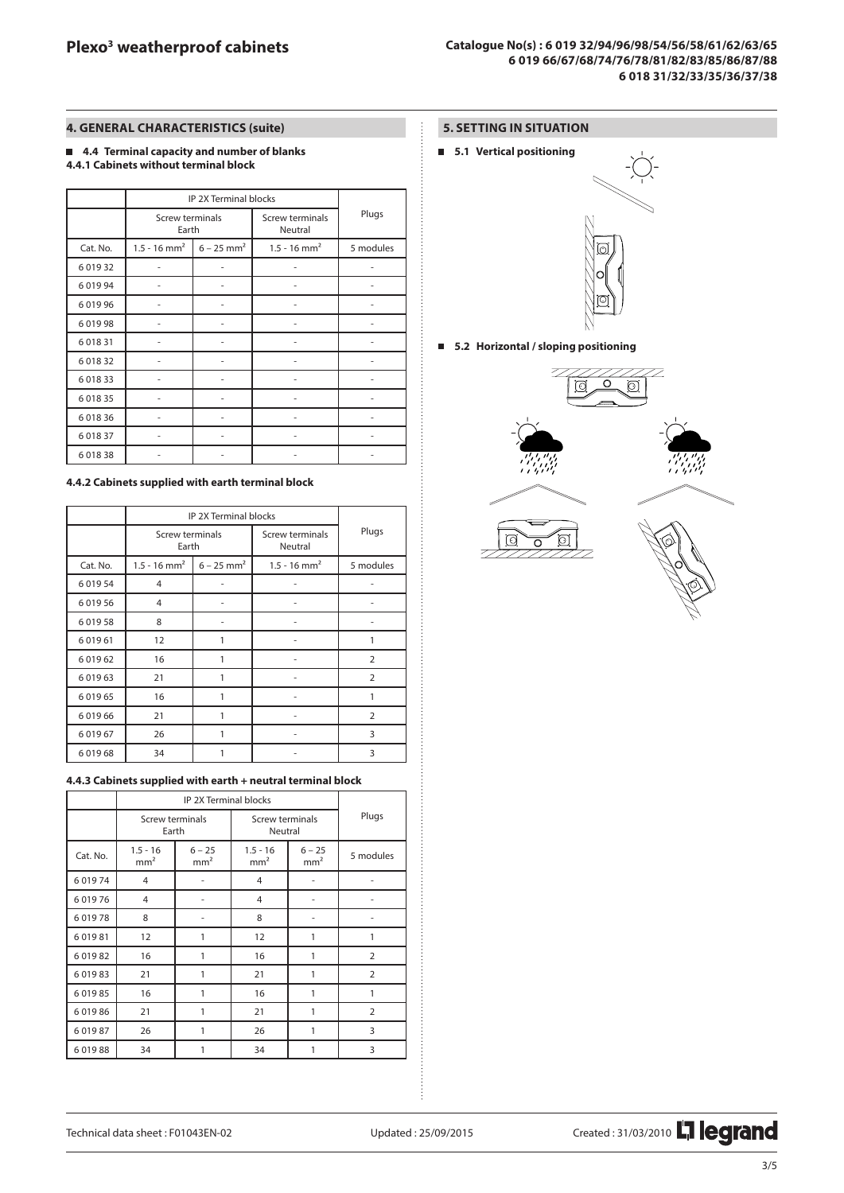## **4. GENERAL CHARACTERISTICS (suite)**

### **4.4 Terminal capacity and number of blanks 4.4.1 Cabinets without terminal block**

|             |                            | IP 2X Terminal blocks    |                            |           |
|-------------|----------------------------|--------------------------|----------------------------|-----------|
|             | Screw terminals<br>Earth   |                          | Screw terminals<br>Neutral | Plugs     |
| Cat. No.    | $1.5 - 16$ mm <sup>2</sup> | $6 - 25$ mm <sup>2</sup> | $1.5 - 16$ mm <sup>2</sup> | 5 modules |
| 6 0 1 9 3 2 |                            |                          |                            |           |
| 6 0 19 9 4  |                            |                          |                            |           |
| 601996      |                            |                          |                            |           |
| 601998      | ۰                          | ۰                        |                            | ۰         |
| 6 0 18 31   |                            |                          |                            |           |
| 6 0 18 32   |                            | ۰                        |                            | ٠         |
| 6 0 18 3 3  |                            |                          |                            |           |
| 6 0 18 35   |                            |                          |                            |           |
| 6 0 18 36   |                            |                          |                            |           |
| 6 0 18 37   |                            |                          |                            |           |
| 601838      |                            |                          |                            |           |

#### **4.4.2 Cabinets supplied with earth terminal block**

|             |                            | IP 2X Terminal blocks    |                            |                |
|-------------|----------------------------|--------------------------|----------------------------|----------------|
|             | Screw terminals<br>Earth   |                          | Screw terminals<br>Neutral | Plugs          |
| Cat. No.    | $1.5 - 16$ mm <sup>2</sup> | $6 - 25$ mm <sup>2</sup> | $1.5 - 16$ mm <sup>2</sup> | 5 modules      |
| 6 0 19 5 4  | 4                          |                          |                            |                |
| 6 0 19 5 6  | $\overline{4}$             | ٠                        |                            | ۰              |
| 601958      | 8                          |                          |                            |                |
| 601961      | 12                         | 1                        |                            |                |
| 6 0 1 9 6 2 | 16                         | 1                        |                            | $\overline{2}$ |
| 6 0 1 9 6 3 | 21                         | 1                        |                            | $\overline{2}$ |
| 6 0 1 9 6 5 | 16                         | 1                        |                            | 1              |
| 601966      | 21                         | 1                        |                            | $\overline{2}$ |
| 6 0 1 9 6 7 | 26                         | 1                        |                            | 3              |
| 601968      | 34                         |                          |                            | 3              |

## **4.4.3 Cabinets supplied with earth + neutral terminal block**

|          | Screw terminals<br>Earth      |                             | Screw terminals<br>Neutral                                   | Plugs |                |
|----------|-------------------------------|-----------------------------|--------------------------------------------------------------|-------|----------------|
| Cat. No. | $1.5 - 16$<br>mm <sup>2</sup> | $6 - 25$<br>mm <sup>2</sup> | $1.5 - 16$<br>$6 - 25$<br>mm <sup>2</sup><br>mm <sup>2</sup> |       | 5 modules      |
| 601974   | $\overline{4}$                |                             | 4                                                            |       |                |
| 601976   | $\overline{4}$                |                             | $\overline{4}$                                               |       |                |
| 601978   | 8                             |                             | 8                                                            |       |                |
| 601981   | 12                            | 1                           | 12                                                           | 1     | 1              |
| 601982   | 16                            | 1                           | 16                                                           | 1     | $\overline{2}$ |
| 601983   | 21                            | 1                           | 21                                                           | 1     | $\overline{2}$ |
| 601985   | 16                            | 1                           | 16                                                           | 1     | 1              |
| 601986   | 21                            | 1                           | 21                                                           | 1     | $\overline{2}$ |
| 601987   | 26                            | 1                           | 26                                                           | 1     | 3              |
| 601988   | 34                            |                             | 34                                                           | 1     | 3              |

## **5. SETTING IN SITUATION**

**5.1 Vertical positioning**



**5.2 Horizontal / sloping positioning**





Technical data sheet : F01043EN-02 Updated : 25/09/2015 Created : 31/03/2010 Nunder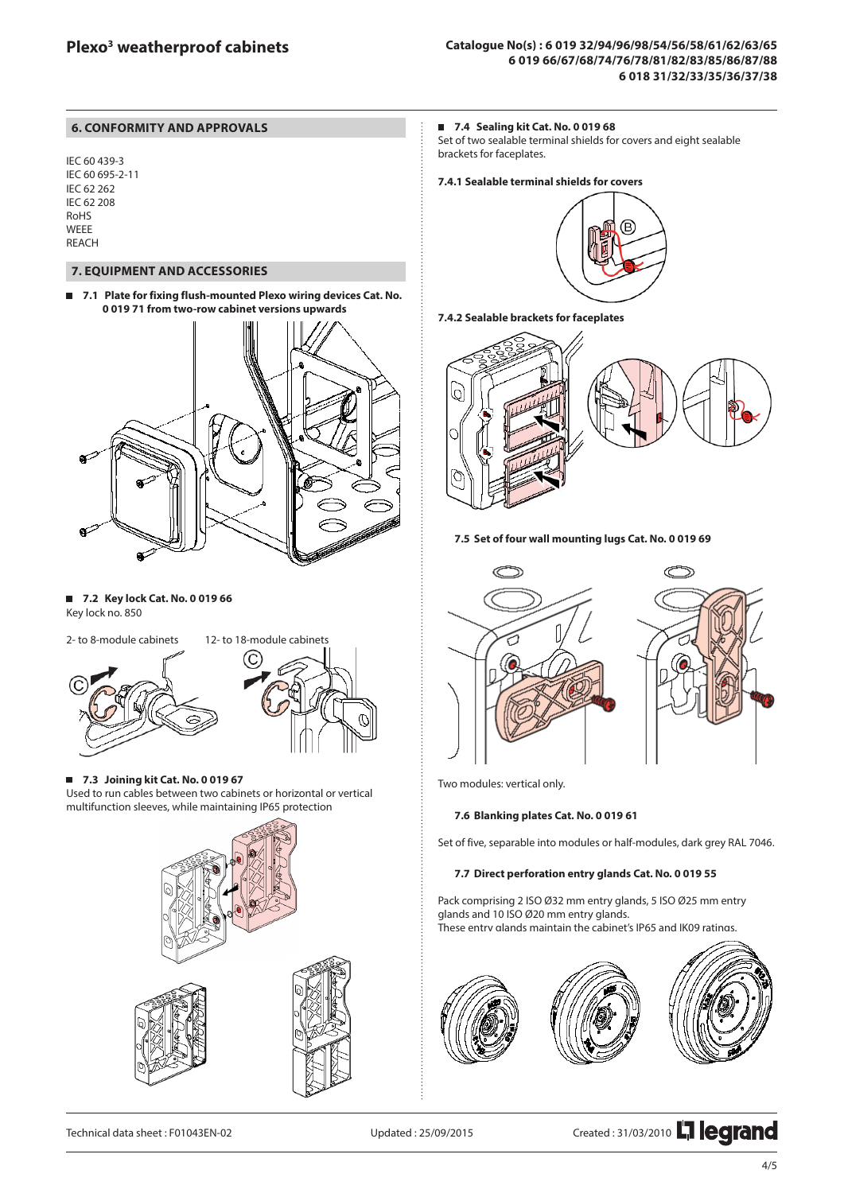## **6. CONFORMITY AND APPROVALS**

IEC 60 439-3 IEC 60 695-2-11 IEC 62 262 IEC 62 208 RoHS WEEE REACH

## **7. EQUIPMENT AND ACCESSORIES**

**7.1 Plate for fixing flush-mounted Plexo wiring devices Cat. No.**   $\blacksquare$ **0 019 71 from two-row cabinet versions upwards**



**7.2 Key lock Cat. No. 0 019 66** Key lock no. 850



**7.3 Joining kit Cat. No. 0 019 67** Used to run cables between two cabinets or horizontal or vertical multifunction sleeves, while maintaining IP65 protection



## **7.4 Sealing kit Cat. No. 0 019 68**

Set of two sealable terminal shields for covers and eight sealable brackets for faceplates.

## **7.4.1 Sealable terminal shields for covers**



**7.4.2 Sealable brackets for faceplates**



**7.5 Set of four wall mounting lugs Cat. No. 0 019 69**





Two modules: vertical only.

#### **7.6 Blanking plates Cat. No. 0 019 61**

Set of five, separable into modules or half-modules, dark grey RAL 7046.

#### **7.7 Direct perforation entry glands Cat. No. 0 019 55**

Pack comprising 2 ISO Ø32 mm entry glands, 5 ISO Ø25 mm entry glands and 10 ISO Ø20 mm entry glands. These entry glands maintain the cabinet's IP65 and IK09 ratings.



Technical data sheet : F01043EN-02 Updated : 25/09/2015 Created : 31/03/2010 THE COTANG